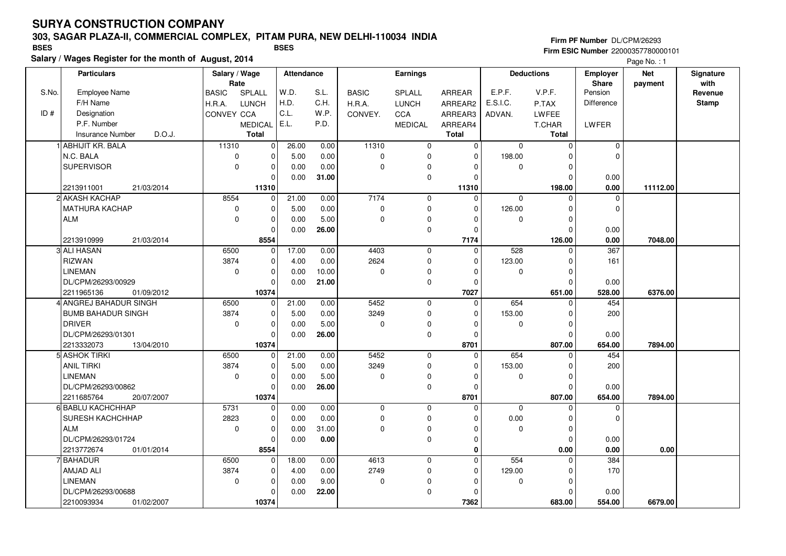### **303, SAGAR PLAZA-II, COMMERCIAL COMPLEX, PITAM PURA, NEW DELHI-110034 INDIA**

**Salary / Wages Register for the month of August, 2014 BSES BSES**

**Firm PF Number** DL/CPM/26293 **Firm ESIC Number** 22000357780000101

|       | <b>Particulars</b>                | Salary / Wage<br>Rate |                | Attendance |          |              | Earnings            |              |             | <b>Deductions</b> | <b>Employer</b><br>Share | <b>Net</b><br>payment | Signature<br>with |
|-------|-----------------------------------|-----------------------|----------------|------------|----------|--------------|---------------------|--------------|-------------|-------------------|--------------------------|-----------------------|-------------------|
| S.No. | <b>Employee Name</b>              | <b>BASIC</b>          | SPLALL         | W.D.       | S.L.     | <b>BASIC</b> | SPLALL              | ARREAR       | E.P.F.      | V.P.F.            | Pension                  |                       | Revenue           |
|       | F/H Name                          | H.R.A.                | <b>LUNCH</b>   | H.D.       | C.H.     | H.R.A.       | <b>LUNCH</b>        | ARREAR2      | E.S.I.C.    | P.TAX             | Difference               |                       | <b>Stamp</b>      |
| ID#   | Designation                       | CONVEY CCA            |                | C.L.       | W.P.     | CONVEY.      | CCA                 | ARREAR3      | ADVAN.      | LWFEE             |                          |                       |                   |
|       | P.F. Number                       |                       | <b>MEDICAL</b> | E.L.       | P.D.     |              | <b>MEDICAL</b>      | ARREAR4      |             | <b>T.CHAR</b>     | LWFER                    |                       |                   |
|       | D.O.J.<br><b>Insurance Number</b> |                       | Total          |            |          |              |                     | <b>Total</b> |             | Total             |                          |                       |                   |
|       | 1 ABHIJIT KR. BALA                | 11310                 | $\overline{0}$ | 26.00      | 0.00     | 11310        | $\mathbf 0$         | 0            | $\mathbf 0$ | $\mathbf 0$       | $\mathbf 0$              |                       |                   |
|       | N.C. BALA                         | $\mathbf 0$           | $\mathbf 0$    | 5.00       | 0.00     | $\pmb{0}$    | $\mathbf 0$         | $\Omega$     | 198.00      | $\Omega$          | $\Omega$                 |                       |                   |
|       | <b>SUPERVISOR</b>                 | $\Omega$              | $\mathbf 0$    | 0.00       | 0.00     | $\mathbf 0$  | 0                   | 0            | $\mathbf 0$ | $\mathbf 0$       |                          |                       |                   |
|       |                                   |                       | $\mathbf 0$    | 0.00       | 31.00    |              | $\mathbf 0$         | $\Omega$     |             | $\Omega$          | 0.00                     |                       |                   |
|       | 21/03/2014<br>2213911001          |                       | 11310          |            |          |              |                     | 11310        |             | 198.00            | 0.00                     | 11112.00              |                   |
|       | 2 AKASH KACHAP                    | 8554                  | $\mathbf 0$    | 21.00      | 0.00     | 7174         | $\mathbf 0$         | $\Omega$     | $\mathbf 0$ | $\Omega$          | $\mathbf 0$              |                       |                   |
|       | MATHURA KACHAP                    | $\mathbf 0$           | $\mathbf 0$    | 5.00       | 0.00     | $\pmb{0}$    | $\mathbf 0$         | $\mathbf 0$  | 126.00      | $\mathbf 0$       | $\mathbf 0$              |                       |                   |
|       | <b>ALM</b>                        | $\Omega$              | $\mathbf 0$    | 0.00       | 5.00     | $\mathbf 0$  | 0                   | $\Omega$     | 0           | $\Omega$          |                          |                       |                   |
|       |                                   |                       | $\mathbf 0$    | 0.00       | 26.00    |              | $\mathbf 0$         | $\mathbf 0$  |             | $\mathbf 0$       | 0.00                     |                       |                   |
|       | 2213910999<br>21/03/2014          |                       | 8554           |            |          |              |                     | 7174         |             | 126.00            | 0.00                     | 7048.00               |                   |
|       | 3 ALI HASAN                       | 6500                  | $\overline{0}$ | 17.00      | 0.00     | 4403         | $\mathbf 0$         | $\mathbf 0$  | 528         | $\mathbf 0$       | 367                      |                       |                   |
|       | <b>RIZWAN</b>                     | 3874                  | $\mathbf 0$    | 4.00       | 0.00     | 2624         | $\mathbf 0$         | $\mathbf 0$  | 123.00      | $\Omega$          | 161                      |                       |                   |
|       | <b>LINEMAN</b>                    | $\mathbf 0$           | $\mathbf 0$    | 0.00       | 10.00    | $\pmb{0}$    | $\mathbf 0$         | $\mathbf 0$  | 0           | $\mathbf 0$       |                          |                       |                   |
|       | DL/CPM/26293/00929                |                       | $\Omega$       | 0.00       | 21.00    |              | $\pmb{0}$           | $\Omega$     |             | $\Omega$          | 0.00                     |                       |                   |
|       | 2211965136<br>01/09/2012          |                       | 10374          |            |          |              |                     | 7027         |             | 651.00            | 528.00                   | 6376.00               |                   |
|       | 4 ANGREJ BAHADUR SINGH            | 6500                  | 0              | 21.00      | 0.00     | 5452         | $\mathbf 0$         | $\mathbf 0$  | 654         | 0                 | 454                      |                       |                   |
|       | <b>BUMB BAHADUR SINGH</b>         | 3874                  | $\mathbf 0$    | 5.00       | 0.00     | 3249         | $\mathbf 0$         | $\Omega$     | 153.00      | $\Omega$          | 200                      |                       |                   |
|       | <b>DRIVER</b>                     | $\mathbf 0$           | $\mathbf 0$    | 0.00       | 5.00     | $\mathbf 0$  | $\mathbf 0$         | $\Omega$     | 0           | $\mathbf 0$       |                          |                       |                   |
|       | DL/CPM/26293/01301                |                       | $\mathbf 0$    | 0.00       | 26.00    |              | $\mathbf 0$         | $\Omega$     |             | $\Omega$          | 0.00                     |                       |                   |
|       | 2213332073<br>13/04/2010          |                       | 10374          |            |          |              |                     | 8701         |             | 807.00            | 654.00                   | 7894.00               |                   |
|       | 5 ASHOK TIRKI                     | 6500                  | $\mathbf 0$    | 21.00      | 0.00     | 5452         | $\mathbf 0$         | $\Omega$     | 654         | $\Omega$          | 454                      |                       |                   |
|       | ANIL TIRKI                        | 3874                  | $\mathbf 0$    | 5.00       | 0.00     | 3249         | $\mathbf 0$         | $\Omega$     | 153.00      | $\mathbf 0$       | 200                      |                       |                   |
|       | <b>LINEMAN</b>                    | $\mathbf 0$           | $\pmb{0}$      | 0.00       | 5.00     | 0            | 0                   | $\Omega$     | 0           | 0                 |                          |                       |                   |
|       | DL/CPM/26293/00862                |                       | $\mathbf 0$    | 0.00       | 26.00    |              | $\mathbf 0$         | $\mathbf 0$  |             | $\mathbf 0$       | 0.00                     |                       |                   |
|       | 2211685764<br>20/07/2007          |                       | 10374          |            |          |              |                     | 8701         |             | 807.00            | 654.00                   | 7894.00               |                   |
|       | 6 BABLU KACHCHHAP                 | 5731                  | $\pmb{0}$      | 0.00       | 0.00     | 0            | $\mathbf 0$         | $\mathbf 0$  | $\mathbf 0$ | $\mathbf 0$       | 0                        |                       |                   |
|       | <b>SURESH KACHCHHAP</b>           | 2823                  | $\mathbf 0$    | 0.00       | 0.00     | $\mathbf 0$  | $\mathsf{O}\xspace$ | $\Omega$     | 0.00        | $\mathbf 0$       | $\Omega$                 |                       |                   |
|       | <b>ALM</b>                        | $\mathbf 0$           | $\mathbf 0$    | 0.00       | 31.00    | $\mathbf 0$  | $\pmb{0}$           | $\Omega$     | 0           | $\mathbf 0$       |                          |                       |                   |
|       | DL/CPM/26293/01724                |                       | $\mathbf 0$    | 0.00       | $0.00\,$ |              | $\mathbf 0$         | $\mathbf{0}$ |             | $\mathbf 0$       | 0.00                     |                       |                   |
|       | 2213772674<br>01/01/2014          |                       | 8554           |            |          |              |                     | 0            |             | 0.00              | 0.00                     | 0.00                  |                   |
|       | 7 BAHADUR                         | 6500                  | $\mathbf 0$    | 18.00      | 0.00     | 4613         | $\mathbf 0$         | $\mathbf 0$  | 554         | $\mathbf 0$       | 384                      |                       |                   |
|       | <b>AMJAD ALI</b><br>LINEMAN       | 3874                  | $\mathbf 0$    | 4.00       | 0.00     | 2749         | 0                   | 0            | 129.00      | $\mathbf 0$       | 170                      |                       |                   |
|       |                                   | $\mathbf 0$           | $\mathbf 0$    | 0.00       | 9.00     | $\pmb{0}$    | 0                   | $\Omega$     | 0           | 0                 |                          |                       |                   |
|       | DL/CPM/26293/00688                |                       | $\mathbf 0$    | 0.00       | 22.00    |              | 0                   | $\Omega$     |             | $\Omega$          | 0.00                     |                       |                   |
|       | 2210093934<br>01/02/2007          |                       | 10374          |            |          |              |                     | 7362         |             | 683.00            | 554.00                   | 6679.00               |                   |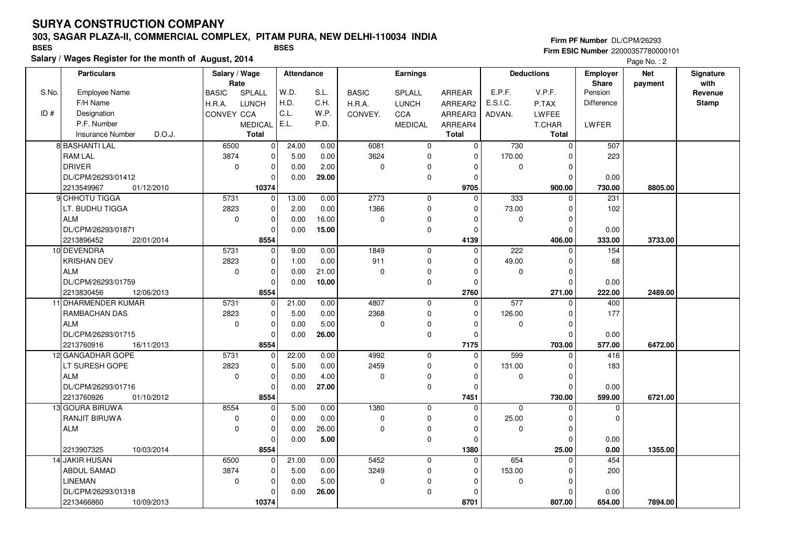### **303, SAGAR PLAZA-II, COMMERCIAL COMPLEX, PITAM PURA, NEW DELHI-110034 INDIA**

**Salary / Wages Register for the month of August, 2014 BSES BSES**

**Firm PF Number** DL/CPM/26293 **Firm ESIC Number** 22000357780000101

|       | <b>Particulars</b>                            | Salary / Wage<br>Rate |                     | Attendance |       |              | Earnings       |                  |          | <b>Deductions</b>  | <b>Employer</b><br>Share | <b>Net</b><br>payment | Signature<br>with |
|-------|-----------------------------------------------|-----------------------|---------------------|------------|-------|--------------|----------------|------------------|----------|--------------------|--------------------------|-----------------------|-------------------|
| S.No. | <b>Employee Name</b>                          | <b>BASIC</b>          | SPLALL              | W.D.       | S.L.  | <b>BASIC</b> | SPLALL         | ARREAR           | E.P.F.   | V.P.F.             | Pension                  |                       | Revenue           |
|       | F/H Name                                      | H.R.A.                | <b>LUNCH</b>        | H.D.       | C.H.  | H.R.A.       | <b>LUNCH</b>   | ARREAR2          | E.S.I.C. | P.TAX              | <b>Difference</b>        |                       | <b>Stamp</b>      |
| ID#   | Designation                                   | CONVEY CCA            |                     | C.L.       | W.P.  | CONVEY.      | CCA            | ARREAR3          | ADVAN.   | LWFEE              |                          |                       |                   |
|       | P.F. Number                                   |                       | MEDICAL             | E.L.       | P.D.  |              | <b>MEDICAL</b> | ARREAR4          |          | <b>T.CHAR</b>      | LWFER                    |                       |                   |
|       | Insurance Number<br>D.O.J.                    |                       | Total               |            |       |              |                | <b>Total</b>     |          | <b>Total</b>       |                          |                       |                   |
|       | 8 BASHANTI LAL                                | 6500                  | $\mathbf 0$         | 24.00      | 0.00  | 6081         | $\mathbf 0$    | $\mathbf 0$      | 730      | $\mathbf 0$        | 507                      |                       |                   |
|       | <b>RAM LAL</b>                                | 3874                  | $\mathbf 0$         | 5.00       | 0.00  | 3624         | $\mathbf 0$    | 0                | 170.00   | $\Omega$           | 223                      |                       |                   |
|       | <b>DRIVER</b>                                 | $\mathbf 0$           | $\mathbf 0$         | 0.00       | 2.00  | $\mathbf 0$  | 0              | $\Omega$         | 0        | $\Omega$           |                          |                       |                   |
|       | DL/CPM/26293/01412                            |                       | $\mathbf 0$         | 0.00       | 29.00 |              | $\mathbf 0$    | $\mathbf 0$      |          | $\Omega$           | 0.00                     |                       |                   |
|       | 2213549967<br>01/12/2010                      |                       | 10374               |            |       |              |                | 9705             |          | 900.00             | 730.00                   | 8805.00               |                   |
|       | 9 CHHOTU TIGGA                                | 5731                  | $\overline{0}$      | 13.00      | 0.00  | 2773         | $\mathbf 0$    | $\mathbf 0$      | 333      | $\mathbf 0$        | 231                      |                       |                   |
|       | LT. BUDHU TIGGA                               | 2823                  | $\pmb{0}$           | 2.00       | 0.00  | 1366         | 0              | $\Omega$         | 73.00    | $\Omega$           | 102                      |                       |                   |
|       | <b>ALM</b>                                    | $\mathbf 0$           | $\mathbf 0$         | 0.00       | 16.00 | $\mathbf 0$  | 0              | $\Omega$         | 0        | $\Omega$           |                          |                       |                   |
|       | DL/CPM/26293/01871                            |                       | $\mathbf 0$         | 0.00       | 15.00 |              | 0              | $\Omega$         |          | $\Omega$           | 0.00                     |                       |                   |
|       | 22/01/2014<br>2213896452                      |                       | 8554                |            |       |              |                | 4139             |          | 406.00             | 333.00                   | 3733.00               |                   |
|       | 10 DEVENDRA                                   | 5731                  | $\mathbf 0$         | 9.00       | 0.00  | 1849         | $\mathbf 0$    | $\mathbf 0$      | 222      | $\Omega$           | $\overline{154}$         |                       |                   |
|       | <b>KRISHAN DEV</b>                            | 2823                  | $\mathbf 0$         | 1.00       | 0.00  | 911          | 0              | $\Omega$         | 49.00    | $\Omega$           | 68                       |                       |                   |
|       | <b>ALM</b>                                    | $\mathbf 0$           | $\mathbf 0$         | 0.00       | 21.00 | $\mathbf 0$  | 0              | $\Omega$         | 0        | $\mathbf 0$        |                          |                       |                   |
|       | DL/CPM/26293/01759                            |                       | $\mathbf 0$         | 0.00       | 10.00 |              | $\mathbf 0$    | $\Omega$         |          | $\Omega$           | 0.00                     |                       |                   |
|       | 2213830456<br>12/06/2013                      |                       | 8554                |            |       |              |                | 2760             |          | 271.00             | 222.00                   | 2489.00               |                   |
|       | 11 DHARMENDER KUMAR                           | 5731                  | $\mathbf 0$         | 21.00      | 0.00  | 4807         | $\mathbf 0$    | $\mathbf 0$      | 577      | $\Omega$           | 400                      |                       |                   |
|       | RAMBACHAN DAS                                 | 2823                  | $\pmb{0}$           | 5.00       | 0.00  | 2368         | $\mathsf 0$    | $\Omega$         | 126.00   | $\Omega$           | 177                      |                       |                   |
|       | <b>ALM</b>                                    | $\mathbf 0$           | $\mathbf 0$         | 0.00       | 5.00  | $\mathbf 0$  | 0              | $\Omega$         | 0        | $\Omega$           |                          |                       |                   |
|       | DL/CPM/26293/01715                            |                       | $\mathbf 0$         | 0.00       | 26.00 |              | $\mathbf 0$    | $\Omega$         |          | $\Omega$           | 0.00                     |                       |                   |
|       | 2213760916<br>16/11/2013<br>12 GANGADHAR GOPE | 5731                  | 8554<br>$\mathbf 0$ | 22.00      | 0.00  | 4992         | $\mathbf 0$    | 7175<br>$\Omega$ | 599      | 703.00<br>$\Omega$ | 577.00<br>416            | 6472.00               |                   |
|       | LT SURESH GOPE                                | 2823                  | $\mathbf 0$         | 5.00       | 0.00  | 2459         | $\mathbf 0$    | $\Omega$         | 131.00   | $\Omega$           | 183                      |                       |                   |
|       | <b>ALM</b>                                    | $\mathbf 0$           | $\mathbf 0$         | 0.00       | 4.00  | $\mathbf 0$  | 0              | $\Omega$         | 0        | $\mathbf 0$        |                          |                       |                   |
|       | DL/CPM/26293/01716                            |                       | $\mathbf 0$         | 0.00       | 27.00 |              | 0              | $\Omega$         |          | $\Omega$           | 0.00                     |                       |                   |
|       | 2213760926<br>01/10/2012                      |                       | 8554                |            |       |              |                | 7451             |          | 730.00             | 599.00                   | 6721.00               |                   |
|       | 13 GOURA BIRUWA                               | 8554                  | $\mathbf 0$         | 5.00       | 0.00  | 1380         | $\mathbf 0$    | $\mathbf 0$      | 0        | $\Omega$           | $\mathbf 0$              |                       |                   |
|       | RANJIT BIRUWA                                 | 0                     | $\mathbf 0$         | 0.00       | 0.00  | $\pmb{0}$    | 0              | $\Omega$         | 25.00    | $\Omega$           | 0                        |                       |                   |
|       | <b>ALM</b>                                    | $\Omega$              | $\mathbf 0$         | 0.00       | 26.00 | $\Omega$     | 0              | $\Omega$         | 0        | $\Omega$           |                          |                       |                   |
|       |                                               |                       | $\Omega$            | 0.00       | 5.00  |              | 0              | $\Omega$         |          | $\Omega$           | 0.00                     |                       |                   |
|       | 2213907325<br>10/03/2014                      |                       | 8554                |            |       |              |                | 1380             |          | 25.00              | 0.00                     | 1355.00               |                   |
|       | 14 JAKIR HUSAN                                | 6500                  | $\mathbf 0$         | 21.00      | 0.00  | 5452         | $\mathbf 0$    | $\Omega$         | 654      | 0                  | 454                      |                       |                   |
|       | ABDUL SAMAD                                   | 3874                  | $\mathbf 0$         | 5.00       | 0.00  | 3249         | 0              | $\Omega$         | 153.00   | $\Omega$           | 200                      |                       |                   |
|       | <b>LINEMAN</b>                                | $\mathbf 0$           | $\mathbf 0$         | 0.00       | 5.00  | $\mathbf 0$  | 0              | $\Omega$         | 0        | $\Omega$           |                          |                       |                   |
|       | DL/CPM/26293/01318                            |                       | $\mathbf 0$         | 0.00       | 26.00 |              | 0              | $\Omega$         |          | $\Omega$           | 0.00                     |                       |                   |
|       | 2213466860<br>10/09/2013                      |                       | 10374               |            |       |              |                | 8701             |          | 807.00             | 654.00                   | 7894.00               |                   |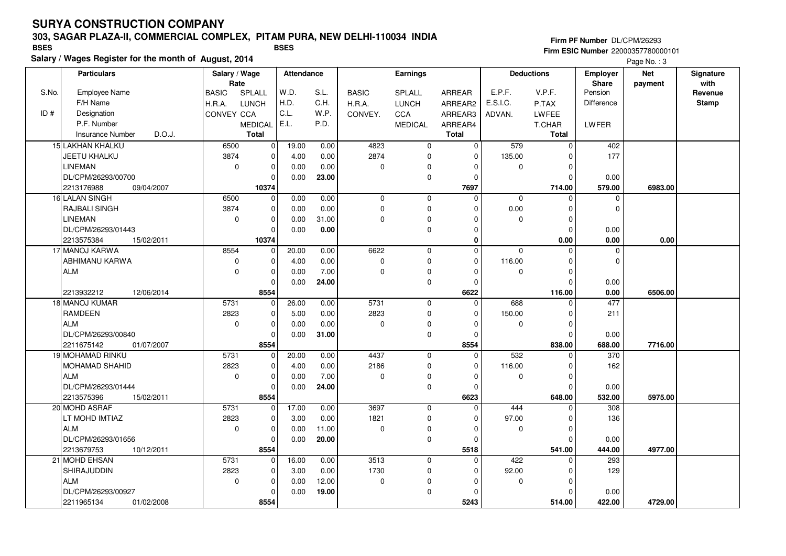### **303, SAGAR PLAZA-II, COMMERCIAL COMPLEX, PITAM PURA, NEW DELHI-110034 INDIA**

**Salary / Wages Register for the month of August, 2014 BSES BSES**

**Firm PF Number** DL/CPM/26293 **Firm ESIC Number** 22000357780000101

|       | <b>Particulars</b>                           | Salary / Wage<br>Rate |                         | <b>Attendance</b> |              |              | <b>Earnings</b>            |                |          | <b>Deductions</b>  | Employer<br>Share | <b>Net</b> | Signature<br>with |
|-------|----------------------------------------------|-----------------------|-------------------------|-------------------|--------------|--------------|----------------------------|----------------|----------|--------------------|-------------------|------------|-------------------|
| S.No. | <b>Employee Name</b>                         | <b>BASIC</b>          | SPLALL                  | W.D.              | S.L.         | <b>BASIC</b> | SPLALL                     | <b>ARREAR</b>  | E.P.F.   | V.P.F.             | Pension           | payment    | Revenue           |
|       | F/H Name                                     | H.R.A.                | <b>LUNCH</b>            | H.D.              | C.H.         | H.R.A.       | <b>LUNCH</b>               | ARREAR2        | E.S.I.C. | P.TAX              | <b>Difference</b> |            | <b>Stamp</b>      |
| ID#   | Designation                                  | CONVEY CCA            |                         | C.L.              | W.P.         | CONVEY.      | <b>CCA</b>                 | ARREAR3        | ADVAN.   | LWFEE              |                   |            |                   |
|       | P.F. Number                                  |                       | <b>MEDICAL</b>          | E.L.              | P.D.         |              | <b>MEDICAL</b>             | ARREAR4        |          | T.CHAR             | LWFER             |            |                   |
|       | <b>Insurance Number</b><br>D.O.J.            |                       | <b>Total</b>            |                   |              |              |                            | <b>Total</b>   |          | Total              |                   |            |                   |
|       | 15 LAKHAN KHALKU                             | 6500                  | $\overline{\mathbf{0}}$ | 19.00             | 0.00         | 4823         | $\mathbf 0$                | $\overline{0}$ | 579      | $\mathsf 0$        | 402               |            |                   |
|       | <b>JEETU KHALKU</b>                          | 3874                  | 0                       | 4.00              | 0.00         | 2874         | $\mathbf 0$                | 0              | 135.00   | $\Omega$           | 177               |            |                   |
|       | <b>LINEMAN</b>                               | $\mathbf 0$           | $\pmb{0}$               | 0.00              | 0.00         | 0            | $\mathbf 0$                | $\Omega$       | 0        | $\mathbf 0$        |                   |            |                   |
|       | DL/CPM/26293/00700                           |                       | $\Omega$                | 0.00              | 23.00        |              | $\mathbf 0$                | $\Omega$       |          | $\Omega$           | 0.00              |            |                   |
|       | 2213176988<br>09/04/2007                     |                       | 10374                   |                   |              |              |                            | 7697           |          | 714.00             | 579.00            | 6983.00    |                   |
|       | 16 LALAN SINGH                               | 6500                  | $\pmb{0}$               | 0.00              | 0.00         | $\mathbf 0$  | $\mathbf 0$                | 0              | 0        | $\mathbf 0$        | $\mathbf 0$       |            |                   |
|       | RAJBALI SINGH                                | 3874                  | $\mathbf 0$             | 0.00              | 0.00         | 0            | $\mathbf 0$                | $\Omega$       | 0.00     | $\mathbf 0$        | $\Omega$          |            |                   |
|       | <b>LINEMAN</b>                               | $\Omega$              | $\Omega$                | 0.00              | 31.00        | $\mathbf{0}$ | $\pmb{0}$                  | ŋ              | $\Omega$ | $\Omega$           |                   |            |                   |
|       | DL/CPM/26293/01443                           |                       | $\mathbf 0$             | 0.00              | 0.00         |              | $\mathbf 0$                | 0              |          | $\mathbf 0$        | 0.00              |            |                   |
|       | 2213575384<br>15/02/2011                     |                       | 10374                   |                   |              |              |                            | 0              |          | 0.00               | 0.00              | 0.00       |                   |
|       | 17 MANOJ KARWA                               | 8554                  | 0                       | 20.00             | 0.00         | 6622         | $\mathbf 0$                | $\Omega$       | $\Omega$ | $\Omega$           | $\mathbf 0$       |            |                   |
|       | ABHIMANU KARWA                               | $\pmb{0}$             | $\pmb{0}$               | 4.00              | 0.00         | 0            | $\mathbf 0$                | $\Omega$       | 116.00   | $\Omega$           | $\Omega$          |            |                   |
|       | <b>ALM</b>                                   | 0                     | $\mathbf 0$             | 0.00              | 7.00         | $\mathbf 0$  | 0                          | $\Omega$       | 0        | 0                  |                   |            |                   |
|       |                                              |                       | $\mathbf 0$             | 0.00              | 24.00        |              | $\mathbf 0$                | 0              |          | $\Omega$           | 0.00              |            |                   |
|       | 2213932212<br>12/06/2014                     |                       | 8554                    |                   |              |              |                            | 6622           |          | 116.00             | 0.00              | 6506.00    |                   |
|       | 18 MANOJ KUMAR                               | 5731                  | $\overline{0}$          | 26.00             | 0.00         | 5731         | $\overline{0}$             | $\overline{0}$ | 688      | $\Omega$           | 477               |            |                   |
|       | <b>RAMDEEN</b>                               | 2823                  | $\mathbf 0$             | 5.00              | 0.00         | 2823         | $\mathbf 0$                | $\Omega$       | 150.00   | $\Omega$           | 211               |            |                   |
|       | <b>ALM</b>                                   | $\mathbf 0$           | $\pmb{0}$               | 0.00              | 0.00         | 0            | 0                          | $\Omega$       | 0        | 0                  |                   |            |                   |
|       | DL/CPM/26293/00840                           |                       | $\Omega$                | 0.00              | 31.00        |              | $\pmb{0}$                  | $\Omega$       |          | $\Omega$           | 0.00              |            |                   |
|       | 2211675142<br>01/07/2007<br>19 MOHAMAD RINKU | 5731                  | 8554                    | 20.00             |              | 4437         |                            | 8554           | 532      | 838.00<br>$\Omega$ | 688.00<br>370     | 7716.00    |                   |
|       | MOHAMAD SHAHID                               | 2823                  | 0<br>0                  | 4.00              | 0.00<br>0.00 | 2186         | $\mathbf 0$<br>$\mathbf 0$ | 0<br>$\Omega$  | 116.00   | 0                  | 162               |            |                   |
|       | <b>ALM</b>                                   | $\mathbf 0$           | $\pmb{0}$               | 0.00              | 7.00         | 0            | 0                          | $\Omega$       | 0        | $\mathbf 0$        |                   |            |                   |
|       | DL/CPM/26293/01444                           |                       | $\Omega$                | 0.00              | 24.00        |              | $\pmb{0}$                  | $\Omega$       |          | $\Omega$           | 0.00              |            |                   |
|       | 2213575396<br>15/02/2011                     |                       | 8554                    |                   |              |              |                            | 6623           |          | 648.00             | 532.00            | 5975.00    |                   |
|       | 20 MOHD ASRAF                                | 5731                  | 0                       | 17.00             | 0.00         | 3697         | $\mathbf 0$                | $\Omega$       | 444      | 0                  | 308               |            |                   |
|       | LT MOHD IMTIAZ                               | 2823                  | $\pmb{0}$               | 3.00              | 0.00         | 1821         | $\mathbf 0$                | $\Omega$       | 97.00    | $\mathbf 0$        | 136               |            |                   |
|       | <b>ALM</b>                                   | $\mathbf 0$           | $\mathbf 0$             | 0.00              | 11.00        | 0            | 0                          | $\Omega$       | 0        | $\Omega$           |                   |            |                   |
|       | DL/CPM/26293/01656                           |                       | $\Omega$                | 0.00              | 20.00        |              | 0                          | 0              |          | $\mathbf 0$        | 0.00              |            |                   |
|       | 2213679753<br>10/12/2011                     |                       | 8554                    |                   |              |              |                            | 5518           |          | 541.00             | 444.00            | 4977.00    |                   |
|       | 21 MOHD EHSAN                                | 5731                  | $\mathbf 0$             | 16.00             | 0.00         | 3513         | $\mathbf 0$                | $\Omega$       | 422      | $\mathbf 0$        | 293               |            |                   |
|       | SHIRAJUDDIN                                  | 2823                  | $\pmb{0}$               | 3.00              | 0.00         | 1730         | 0                          | $\Omega$       | 92.00    | $\Omega$           | 129               |            |                   |
|       | <b>ALM</b>                                   | $\mathbf 0$           | $\mathbf 0$             | 0.00              | 12.00        | $\mathbf 0$  | 0                          | $\Omega$       | 0        | $\Omega$           |                   |            |                   |
|       |                                              |                       |                         |                   |              |              |                            |                |          |                    |                   |            |                   |
|       | DL/CPM/26293/00927                           |                       | $\Omega$                | 0.00              | 19.00        |              | $\mathbf 0$                | $\Omega$       |          | $\Omega$           | 0.00              |            |                   |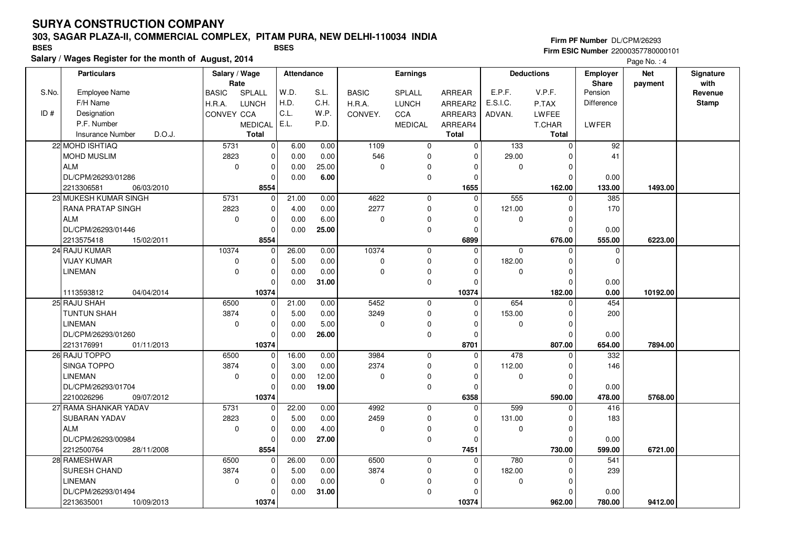### **303, SAGAR PLAZA-II, COMMERCIAL COMPLEX, PITAM PURA, NEW DELHI-110034 INDIA**

**Salary / Wages Register for the month of August, 2014 BSES BSES**

**Firm PF Number** DL/CPM/26293 **Firm ESIC Number** 22000357780000101

|       | <b>Particulars</b>                | Rate         | Salary / Wage  |       | <b>Attendance</b> |              | Earnings       |               |             | <b>Deductions</b> | <b>Employer</b><br>Share | <b>Net</b><br>payment | Signature<br>with |
|-------|-----------------------------------|--------------|----------------|-------|-------------------|--------------|----------------|---------------|-------------|-------------------|--------------------------|-----------------------|-------------------|
| S.No. | <b>Employee Name</b>              | <b>BASIC</b> | SPLALL         | W.D.  | S.L.              | <b>BASIC</b> | SPLALL         | <b>ARREAR</b> | E.P.F.      | V.P.F.            | Pension                  |                       | Revenue           |
|       | F/H Name                          | H.R.A.       | <b>LUNCH</b>   | H.D.  | C.H.              | H.R.A.       | <b>LUNCH</b>   | ARREAR2       | E.S.I.C.    | P.TAX             | Difference               |                       | <b>Stamp</b>      |
| ID#   | Designation                       | CONVEY CCA   |                | C.L.  | W.P.              | CONVEY.      | CCA            | ARREAR3       | ADVAN.      | LWFEE             |                          |                       |                   |
|       | P.F. Number                       |              | <b>MEDICAL</b> | E.L.  | P.D.              |              | <b>MEDICAL</b> | ARREAR4       |             | T.CHAR            | <b>LWFER</b>             |                       |                   |
|       | D.O.J.<br><b>Insurance Number</b> |              | Total          |       |                   |              |                | <b>Total</b>  |             | <b>Total</b>      |                          |                       |                   |
|       | 22 MOHD ISHTIAQ                   | 5731         | $\mathbf 0$    | 6.00  | 0.00              | 1109         | $\mathbf 0$    | $\mathbf 0$   | 133         | $\mathbf 0$       | 92                       |                       |                   |
|       | <b>MOHD MUSLIM</b>                | 2823         | $\pmb{0}$      | 0.00  | 0.00              | 546          | $\mathbf 0$    | $\Omega$      | 29.00       | <sup>0</sup>      | 41                       |                       |                   |
|       | ALM                               | $\mathbf 0$  | $\mathbf 0$    | 0.00  | 25.00             | $\Omega$     | 0              |               | $\mathbf 0$ | $\Omega$          |                          |                       |                   |
|       | DL/CPM/26293/01286                |              | $\mathbf 0$    | 0.00  | 6.00              |              | 0              | $\Omega$      |             | $\Omega$          | 0.00                     |                       |                   |
|       | 2213306581<br>06/03/2010          |              | 8554           |       |                   |              |                | 1655          |             | 162.00            | 133.00                   | 1493.00               |                   |
|       | 23 MUKESH KUMAR SINGH             | 5731         | $\mathbf 0$    | 21.00 | 0.00              | 4622         | $\mathbf 0$    | $\Omega$      | 555         | $\Omega$          | 385                      |                       |                   |
|       | <b>RANA PRATAP SINGH</b>          | 2823         | $\mathbf 0$    | 4.00  | 0.00              | 2277         | 0              | $\Omega$      | 121.00      | 0                 | 170                      |                       |                   |
|       | <b>ALM</b>                        | $\mathbf 0$  | $\mathbf 0$    | 0.00  | 6.00              | $\Omega$     | 0              | O             | $\mathbf 0$ | O                 |                          |                       |                   |
|       | DL/CPM/26293/01446                |              | $\mathbf 0$    | 0.00  | 25.00             |              | 0              | $\Omega$      |             | $\Omega$          | 0.00                     |                       |                   |
|       | 2213575418<br>15/02/2011          |              | 8554           |       |                   |              |                | 6899          |             | 676.00            | 555.00                   | 6223.00               |                   |
|       | 24 RAJU KUMAR                     | 10374        | $\mathbf{0}$   | 26.00 | 0.00              | 10374        | $\mathbf 0$    | $\Omega$      | $\Omega$    | $\Omega$          | $\mathbf 0$              |                       |                   |
|       | <b>VIJAY KUMAR</b>                | $\mathbf 0$  | $\mathbf 0$    | 5.00  | 0.00              | $\mathbf 0$  | 0              | $\Omega$      | 182.00      | $\Omega$          | $\mathbf 0$              |                       |                   |
|       | <b>LINEMAN</b>                    | $\mathbf 0$  | $\mathbf 0$    | 0.00  | 0.00              | $\Omega$     | 0              | $\Omega$      | 0           | $\Omega$          |                          |                       |                   |
|       |                                   |              | $\Omega$       | 0.00  | 31.00             |              | $\pmb{0}$      | $\Omega$      |             | $\Omega$          | 0.00                     |                       |                   |
|       | 1113593812<br>04/04/2014          |              | 10374          |       |                   |              |                | 10374         |             | 182.00            | 0.00                     | 10192.00              |                   |
|       | 25 RAJU SHAH                      | 6500         | $\mathbf 0$    | 21.00 | 0.00              | 5452         | $\mathbf 0$    | $\Omega$      | 654         | $\Omega$          | 454                      |                       |                   |
|       | <b>TUNTUN SHAH</b>                | 3874         | $\mathbf 0$    | 5.00  | 0.00              | 3249         | $\mathsf 0$    | $\Omega$      | 153.00      | $\Omega$          | 200                      |                       |                   |
|       | <b>LINEMAN</b>                    | $\mathbf 0$  | $\pmb{0}$      | 0.00  | 5.00              | $\Omega$     | 0              | $\Omega$      | $\mathbf 0$ | $\Omega$          |                          |                       |                   |
|       | DL/CPM/26293/01260                |              | $\mathbf 0$    | 0.00  | 26.00             |              | 0              | $\Omega$      |             | O                 | 0.00                     |                       |                   |
|       | 2213176991<br>01/11/2013          |              | 10374          |       |                   |              |                | 8701          |             | 807.00            | 654.00                   | 7894.00               |                   |
|       | 26 RAJU TOPPO                     | 6500         | $\mathbf 0$    | 16.00 | 0.00              | 3984         | $\mathbf 0$    | $\Omega$      | 478         |                   | 332                      |                       |                   |
|       | SINGA TOPPO                       | 3874         | $\pmb{0}$      | 3.00  | 0.00              | 2374         | $\mathbf 0$    | $\Omega$      | 112.00      | $\Omega$          | 146                      |                       |                   |
|       | <b>LINEMAN</b>                    | 0            | $\pmb{0}$      | 0.00  | 12.00             | $\mathbf 0$  | 0              | $\Omega$      | 0           | $\Omega$          |                          |                       |                   |
|       | DL/CPM/26293/01704                |              | $\mathbf 0$    | 0.00  | 19.00             |              | 0              | $\Omega$      |             | $\Omega$          | 0.00                     |                       |                   |
|       | 2210026296<br>09/07/2012          |              | 10374          |       |                   |              |                | 6358          |             | 590.00            | 478.00                   | 5768.00               |                   |
|       | 27 RAMA SHANKAR YADAV             | 5731         | $\mathbf 0$    | 22.00 | 0.00              | 4992         | $\mathbf 0$    | $\Omega$      | 599         | $\Omega$          | 416                      |                       |                   |
|       | SUBARAN YADAV                     | 2823         | $\mathbf 0$    | 5.00  | 0.00              | 2459         | $\mathbf 0$    | $\Omega$      | 131.00      | $\Omega$          | 183                      |                       |                   |
|       | <b>ALM</b>                        | $\mathbf 0$  | $\mathbf 0$    | 0.00  | 4.00              | $\mathbf 0$  | 0              | $\Omega$      | $\mathbf 0$ | $\Omega$          |                          |                       |                   |
|       | DL/CPM/26293/00984                |              | $\mathbf 0$    | 0.00  | 27.00             |              | 0              | $\Omega$      |             | $\Omega$          | 0.00                     |                       |                   |
|       | 2212500764<br>28/11/2008          |              | 8554           |       |                   |              |                | 7451          |             | 730.00            | 599.00                   | 6721.00               |                   |
|       | 28 RAMESHWAR                      | 6500         | $\mathbf 0$    | 26.00 | 0.00              | 6500         | $\mathbf 0$    | $\Omega$      | 780         | $\Omega$          | 541                      |                       |                   |
|       | SURESH CHAND                      | 3874         | $\mathbf 0$    | 5.00  | 0.00              | 3874         | 0              | $\Omega$      | 182.00      | O                 | 239                      |                       |                   |
|       | <b>LINEMAN</b>                    | $\mathbf 0$  | $\mathbf 0$    | 0.00  | 0.00              | $\mathbf 0$  | 0              | $\Omega$      | $\mathbf 0$ | $\Omega$          |                          |                       |                   |
|       | DL/CPM/26293/01494                |              | $\mathbf 0$    | 0.00  | 31.00             |              | 0              |               |             | O                 | 0.00                     |                       |                   |
|       | 2213635001<br>10/09/2013          |              | 10374          |       |                   |              |                | 10374         |             | 962.00            | 780.00                   | 9412.00               |                   |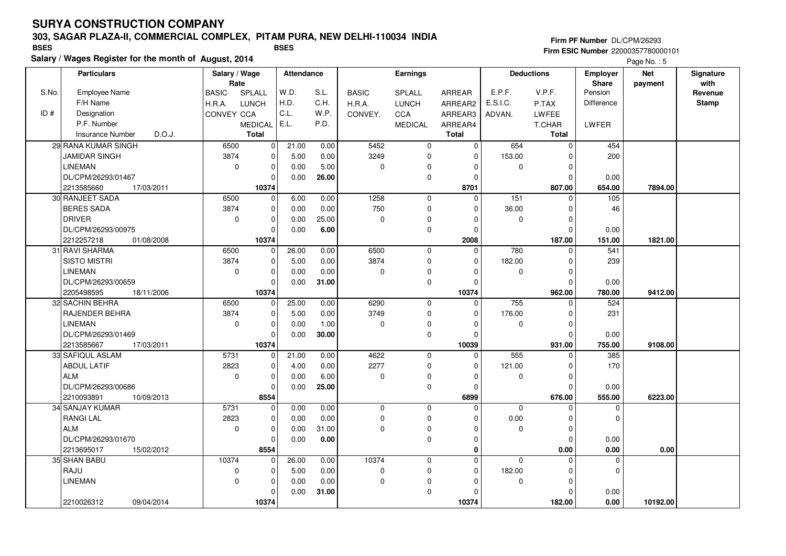### **303, SAGAR PLAZA-II, COMMERCIAL COMPLEX, PITAM PURA, NEW DELHI-110034 INDIA**

**Salary / Wages Register for the month of August, 2014 BSES BSES**

**Firm PF Number** DL/CPM/26293 **Firm ESIC Number** 22000357780000101

|       | <b>Particulars</b>                          |                        | Salary / Wage<br>Rate |       | Attendance   |                     | Earnings       |               |                    | <b>Deductions</b> | <b>Employer</b><br><b>Share</b> | <b>Net</b> | Signature<br>with |
|-------|---------------------------------------------|------------------------|-----------------------|-------|--------------|---------------------|----------------|---------------|--------------------|-------------------|---------------------------------|------------|-------------------|
| S.No. | <b>Employee Name</b>                        | SPLALL<br><b>BASIC</b> |                       | W.D.  | S.L.         | <b>BASIC</b>        | SPLALL         | <b>ARREAR</b> | E.P.F.             | V.P.F.            | Pension                         | payment    | Revenue           |
|       | F/H Name                                    | <b>LUNCH</b><br>H.R.A. |                       | H.D.  | C.H.         | H.R.A.              | <b>LUNCH</b>   | ARREAR2       | E.S.I.C.           | P.TAX             | Difference                      |            | <b>Stamp</b>      |
| ID#   | Designation                                 | <b>CONVEY CCA</b>      |                       | C.L.  | W.P.         | CONVEY.             | CCA            | ARREAR3       | ADVAN.             | LWFEE             |                                 |            |                   |
|       | P.F. Number                                 |                        | <b>MEDICAL</b>        | E.L.  | P.D.         |                     | <b>MEDICAL</b> | ARREAR4       |                    | T.CHAR            | LWFER                           |            |                   |
|       | D.O.J.<br><b>Insurance Number</b>           |                        | <b>Total</b>          |       |              |                     |                | <b>Total</b>  |                    | <b>Total</b>      |                                 |            |                   |
|       | 29 RANA KUMAR SINGH                         | 6500                   |                       |       |              | 5452                |                |               | 654                | $\mathbf 0$       | 454                             |            |                   |
|       |                                             |                        | $\mathbf 0$           | 21.00 | 0.00         |                     | 0              | 0             |                    |                   |                                 |            |                   |
|       | <b>JAMIDAR SINGH</b><br><b>LINEMAN</b>      | 3874<br>$\mathbf 0$    | $\mathbf 0$           | 5.00  | 0.00<br>5.00 | 3249<br>$\mathbf 0$ | 0              | 0<br>$\Omega$ | 153.00<br>$\Omega$ | 0<br>$\Omega$     | 200                             |            |                   |
|       | DL/CPM/26293/01467                          |                        | $\mathbf 0$           | 0.00  |              |                     | $\mathbf 0$    |               |                    | $\Omega$          |                                 |            |                   |
|       |                                             |                        | $\mathbf 0$           | 0.00  | 26.00        |                     | 0              | $\mathbf 0$   |                    |                   | 0.00                            |            |                   |
|       | 2213585660<br>17/03/2011<br>30 RANJEET SADA |                        | 10374                 | 6.00  |              | 1258                |                | 8701          | $\overline{151}$   | 807.00            | 654.00<br>$\overline{105}$      | 7894.00    |                   |
|       | <b>BERES SADA</b>                           | 6500                   | $\overline{0}$        |       | 0.00         |                     | 0              | $\mathbf 0$   |                    | $\mathbf 0$       |                                 |            |                   |
|       |                                             | 3874                   | $\mathbf 0$           | 0.00  | 0.00         | 750                 | 0              | $\Omega$      | 36.00              | $\Omega$          | 46                              |            |                   |
|       | <b>DRIVER</b>                               | $\mathbf 0$            | $\mathbf 0$           | 0.00  | 25.00        | $\mathbf 0$         | 0              | $\Omega$      | $\mathbf 0$        | $\Omega$          |                                 |            |                   |
|       | DL/CPM/26293/00975                          |                        | $\mathbf 0$           | 0.00  | 6.00         |                     | 0              | $\mathbf 0$   |                    | $\mathbf 0$       | 0.00                            |            |                   |
|       | 2212257218<br>01/08/2008                    |                        | 10374                 |       |              |                     |                | 2008          |                    | 187.00            | 151.00                          | 1821.00    |                   |
|       | 31 RAVI SHARMA                              | 6500                   | $\mathbf 0$           | 26.00 | 0.00         | 6500                | $\mathbf 0$    | $\mathbf{0}$  | 780                | $\Omega$          | 541                             |            |                   |
|       | <b>SISTO MISTRI</b>                         | 3874                   | $\mathbf 0$           | 5.00  | 0.00         | 3874                | 0              | $\mathbf{0}$  | 182.00             | $\Omega$          | 239                             |            |                   |
|       | <b>LINEMAN</b>                              | $\mathbf 0$            | $\mathbf 0$           | 0.00  | 0.00         | $\mathbf 0$         | 0              | $\mathbf 0$   | $\Omega$           | $\mathbf 0$       |                                 |            |                   |
|       | DL/CPM/26293/00659                          |                        | $\mathbf 0$           | 0.00  | 31.00        |                     | 0              | $\mathbf 0$   |                    | $\Omega$          | 0.00                            |            |                   |
|       | 2205498595<br>18/11/2006                    |                        | 10374                 |       |              |                     |                | 10374         |                    | 962.00            | 780.00                          | 9412.00    |                   |
|       | 32 SACHIN BEHRA                             | 6500                   | $\mathbf 0$           | 25.00 | 0.00         | 6290                | 0              | $\mathbf 0$   | 755                | $\Omega$          | 524                             |            |                   |
|       | RAJENDER BEHRA                              | 3874                   | $\mathbf 0$           | 5.00  | 0.00         | 3749                | 0              | $\Omega$      | 176.00             | $\Omega$          | 231                             |            |                   |
|       | <b>LINEMAN</b>                              | $\mathbf 0$            | $\mathbf 0$           | 0.00  | 1.00         | $\mathbf 0$         | 0              | $\Omega$      | $\Omega$           | $\Omega$          |                                 |            |                   |
|       | DL/CPM/26293/01469                          |                        | $\mathbf 0$           | 0.00  | 30.00        |                     | $\mathbf 0$    | $\Omega$      |                    | 0                 | 0.00                            |            |                   |
|       | 2213585667<br>17/03/2011                    |                        | 10374                 |       |              |                     |                | 10039         |                    | 931.00            | 755.00                          | 9108.00    |                   |
|       | 33 SAFIQUL ASLAM                            | 5731                   | $\mathbf 0$           | 21.00 | 0.00         | 4622                | 0              | $\mathbf 0$   | 555                | $\Omega$          | 385                             |            |                   |
|       | <b>ABDUL LATIF</b>                          | 2823                   | $\mathbf 0$           | 4.00  | 0.00         | 2277                | $\mathbf 0$    | $\Omega$      | 121.00             | $\Omega$          | 170                             |            |                   |
|       | <b>ALM</b>                                  | $\mathbf 0$            | $\mathbf 0$           | 0.00  | 6.00         | $\mathbf 0$         | 0              | $\mathbf 0$   | 0                  | 0                 |                                 |            |                   |
|       | DL/CPM/26293/00686                          |                        | $\mathbf 0$           | 0.00  | 25.00        |                     | 0              | $\Omega$      |                    | $\Omega$          | 0.00                            |            |                   |
|       | 2210093891<br>10/09/2013                    |                        | 8554                  |       |              |                     |                | 6899          |                    | 676.00            | 555.00                          | 6223.00    |                   |
|       | 34 SANJAY KUMAR                             | 5731                   | $\mathbf 0$           | 0.00  | 0.00         | 0                   | $\mathbf 0$    | $\Omega$      | $\mathbf 0$        | $\Omega$          | $\Omega$                        |            |                   |
|       | <b>RANGI LAL</b>                            | 2823                   | $\mathbf 0$           | 0.00  | 0.00         | $\mathbf 0$         | 0              | $\mathbf 0$   | 0.00               | 0                 | $\Omega$                        |            |                   |
|       | <b>ALM</b>                                  | $\mathbf 0$            | $\mathbf 0$           | 0.00  | 31.00        | $\Omega$            | 0              | $\Omega$      | $\mathbf 0$        | $\Omega$          |                                 |            |                   |
|       | DL/CPM/26293/01670                          |                        | $\Omega$              | 0.00  | 0.00         |                     | 0              | $\mathbf 0$   |                    | $\Omega$          | 0.00                            |            |                   |
|       | 2213695017<br>15/02/2012                    |                        | 8554                  |       |              |                     |                | $\mathbf 0$   |                    | 0.00              | 0.00                            | 0.00       |                   |
|       | 35 SHAN BABU                                | 10374                  | 0                     | 26.00 | 0.00         | 10374               | 0              | $\mathbf 0$   | 0                  | $\Omega$          | $\mathbf 0$                     |            |                   |
|       | RAJU                                        | $\mathbf 0$            | $\mathbf 0$           | 5.00  | 0.00         | $\mathbf 0$         | 0              | $\mathbf 0$   | 182.00             | $\Omega$          | $\Omega$                        |            |                   |
|       | <b>LINEMAN</b>                              | $\mathbf 0$            | $\mathbf 0$           | 0.00  | 0.00         | $\Omega$            | 0              | $\Omega$      | $\mathbf 0$        | $\Omega$          |                                 |            |                   |
|       |                                             |                        | $\mathbf 0$           | 0.00  | 31.00        |                     | 0              | $\Omega$      |                    | $\Omega$          | 0.00                            |            |                   |
|       | 2210026312<br>09/04/2014                    |                        | 10374                 |       |              |                     |                | 10374         |                    | 182.00            | 0.00                            | 10192.00   |                   |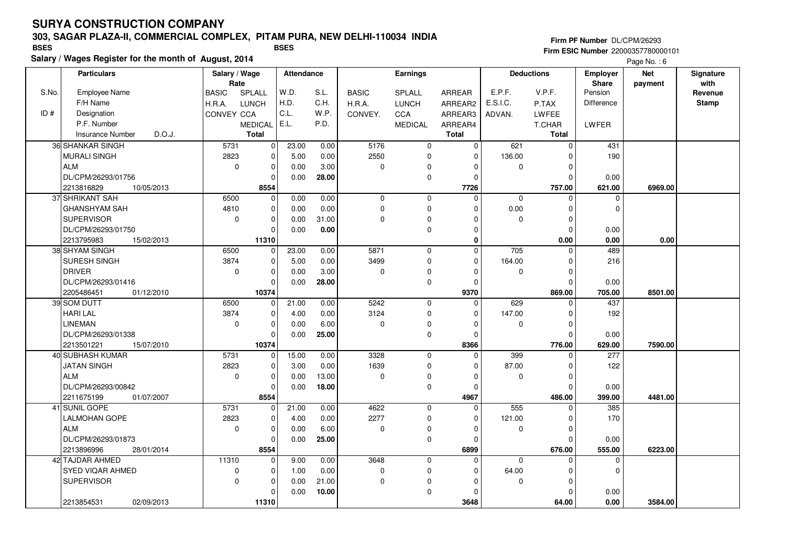### **303, SAGAR PLAZA-II, COMMERCIAL COMPLEX, PITAM PURA, NEW DELHI-110034 INDIA**

**Salary / Wages Register for the month of August, 2014 BSES BSES**

**Firm PF Number** DL/CPM/26293 **Firm ESIC Number** 22000357780000101

|       | <b>Particulars</b>                | Salary / Wage<br>Rate |                | <b>Attendance</b> |       |              | <b>Earnings</b> |               |                  | <b>Deductions</b> | Employer<br>Share | <b>Net</b> | Signature<br>with |
|-------|-----------------------------------|-----------------------|----------------|-------------------|-------|--------------|-----------------|---------------|------------------|-------------------|-------------------|------------|-------------------|
| S.No. | <b>Employee Name</b>              | <b>BASIC</b>          | SPLALL         | W.D.              | S.L.  | <b>BASIC</b> | SPLALL          | <b>ARREAR</b> | E.P.F.           | V.P.F.            | Pension           | payment    | Revenue           |
|       | F/H Name                          | H.R.A.                | <b>LUNCH</b>   | H.D.              | C.H.  | H.R.A.       | <b>LUNCH</b>    | ARREAR2       | E.S.I.C.         | P.TAX             | <b>Difference</b> |            | <b>Stamp</b>      |
| ID#   | Designation                       | CONVEY CCA            |                | C.L.              | W.P.  | CONVEY.      | CCA             | ARREAR3       | ADVAN.           | LWFEE             |                   |            |                   |
|       | P.F. Number                       |                       | <b>MEDICAL</b> | E.L.              | P.D.  |              | <b>MEDICAL</b>  | ARREAR4       |                  | T.CHAR            | LWFER             |            |                   |
|       | <b>Insurance Number</b><br>D.O.J. |                       | <b>Total</b>   |                   |       |              |                 | <b>Total</b>  |                  | <b>Total</b>      |                   |            |                   |
|       | 36 SHANKAR SINGH                  | 5731                  | $\mathbf 0$    | 23.00             | 0.00  | 5176         | 0               | $\mathbf 0$   | 621              | $\mathbf 0$       | 431               |            |                   |
|       | <b>MURALI SINGH</b>               | 2823                  | $\mathbf 0$    | 5.00              | 0.00  | 2550         | 0               | $\Omega$      | 136.00           | $\Omega$          | 190               |            |                   |
|       | ALM                               | $\mathbf 0$           | $\mathbf 0$    | 0.00              | 3.00  | $\mathbf 0$  | 0               |               | $\mathbf 0$      | $\mathbf 0$       |                   |            |                   |
|       | DL/CPM/26293/01756                |                       | $\Omega$       | 0.00              | 28.00 |              | 0               | $\Omega$      |                  | $\Omega$          | 0.00              |            |                   |
|       | 2213816829<br>10/05/2013          |                       | 8554           |                   |       |              |                 | 7726          |                  | 757.00            | 621.00            | 6969.00    |                   |
|       | 37 SHRIKANT SAH                   | 6500                  | $\mathbf 0$    | 0.00              | 0.00  | 0            | 0               | $\Omega$      | 0                | $\Omega$          | 0                 |            |                   |
|       | <b>GHANSHYAM SAH</b>              | 4810                  | $\mathbf 0$    | 0.00              | 0.00  | $\Omega$     | 0               |               | 0.00             | 0                 | $\Omega$          |            |                   |
|       | <b>SUPERVISOR</b>                 | $\mathbf 0$           | $\mathbf 0$    | 0.00              | 31.00 | $\Omega$     | 0               |               | $\mathbf 0$      | $\Omega$          |                   |            |                   |
|       | DL/CPM/26293/01750                |                       | $\Omega$       | 0.00              | 0.00  |              | 0               |               |                  | $\mathbf 0$       | 0.00              |            |                   |
|       | 2213795983<br>15/02/2013          |                       | 11310          |                   |       |              |                 | $\bf{0}$      |                  | 0.00              | 0.00              | 0.00       |                   |
|       | 38 SHYAM SINGH                    | 6500                  | $\mathbf 0$    | 23.00             | 0.00  | 5871         | $\mathbf 0$     | $\mathbf 0$   | $\overline{705}$ | $\mathbf 0$       | 489               |            |                   |
|       | SURESH SINGH                      | 3874                  | $\mathbf 0$    | 5.00              | 0.00  | 3499         | 0               | $\Omega$      | 164.00           | $\Omega$          | 216               |            |                   |
|       | <b>DRIVER</b>                     | $\mathbf 0$           | $\mathbf 0$    | 0.00              | 3.00  | $\Omega$     | 0               |               | $\mathbf 0$      | $\mathbf 0$       |                   |            |                   |
|       | DL/CPM/26293/01416                |                       | $\mathbf 0$    | 0.00              | 28.00 |              | $\mathbf 0$     | $\Omega$      |                  | $\Omega$          | 0.00              |            |                   |
|       | 2205486451<br>01/12/2010          |                       | 10374          |                   |       |              |                 | 9370          |                  | 869.00            | 705.00            | 8501.00    |                   |
|       | 39 SOM DUTT                       | 6500                  | $\mathbf 0$    | 21.00             | 0.00  | 5242         | $\mathbf 0$     | $\Omega$      | 629              | $\Omega$          | 437               |            |                   |
|       | <b>HARI LAL</b>                   | 3874                  | $\mathbf 0$    | 4.00              | 0.00  | 3124         | 0               | $\Omega$      | 147.00           | $\Omega$          | 192               |            |                   |
|       | <b>LINEMAN</b>                    | $\mathbf 0$           | $\mathbf 0$    | 0.00              | 6.00  | $\Omega$     | 0               |               | $\mathbf 0$      | $\Omega$          |                   |            |                   |
|       | DL/CPM/26293/01338                |                       | $\Omega$       | 0.00              | 25.00 |              | 0               | $\Omega$      |                  | $\Omega$          | 0.00              |            |                   |
|       | 2213501221<br>15/07/2010          |                       | 10374          |                   |       |              |                 | 8366          |                  | 776.00            | 629.00            | 7590.00    |                   |
|       | 40 SUBHASH KUMAR                  | 5731                  | $\mathbf 0$    | 15.00             | 0.00  | 3328         | $\mathbf 0$     | $\Omega$      | 399              | $\Omega$          | $\overline{277}$  |            |                   |
|       | <b>JATAN SINGH</b>                | 2823                  | $\mathbf 0$    | 3.00              | 0.00  | 1639         | $\Omega$        |               | 87.00            | $\Omega$          | 122               |            |                   |
|       | <b>ALM</b>                        | $\mathbf 0$           | $\mathbf 0$    | 0.00              | 13.00 | $\mathbf 0$  | 0               | $\Omega$      | 0                | 0                 |                   |            |                   |
|       | DL/CPM/26293/00842                |                       | $\mathbf 0$    | 0.00              | 18.00 |              | 0               | $\Omega$      |                  | $\mathbf 0$       | 0.00              |            |                   |
|       | 2211675199<br>01/07/2007          |                       | 8554           |                   |       |              |                 | 4967          |                  | 486.00            | 399.00            | 4481.00    |                   |
|       | 41 SUNIL GOPE                     | 5731                  | $\Omega$       | 21.00             | 0.00  | 4622         | $\mathbf 0$     | $\Omega$      | 555              | $\Omega$          | 385               |            |                   |
|       | <b>LALMOHAN GOPE</b>              | 2823                  | $\mathbf 0$    | 4.00              | 0.00  | 2277         | 0               | $\Omega$      | 121.00           | $\Omega$          | 170               |            |                   |
|       | <b>ALM</b>                        | $\mathbf 0$           | $\mathbf 0$    | 0.00              | 6.00  | 0            | 0               | $\Omega$      | 0                | $\mathbf 0$       |                   |            |                   |
|       | DL/CPM/26293/01873                |                       | $\mathbf 0$    | 0.00              | 25.00 |              | 0               | $\Omega$      |                  | $\Omega$          | 0.00              |            |                   |
|       | 2213896996<br>28/01/2014          |                       | 8554           |                   |       |              |                 | 6899          |                  | 676.00            | 555.00            | 6223.00    |                   |
|       | 42 TAJDAR AHMED                   | 11310                 | $\mathbf 0$    | 9.00              | 0.00  | 3648         | $\mathbf 0$     | $\Omega$      | $\mathbf 0$      | $\Omega$          | $\mathbf 0$       |            |                   |
|       | SYED VIQAR AHMED                  | $\mathbf 0$           | $\mathbf 0$    | 1.00              | 0.00  | $\mathbf 0$  | 0               | $\Omega$      | 64.00            | $\mathbf 0$       | $\Omega$          |            |                   |
|       | <b>SUPERVISOR</b>                 | $\mathbf 0$           | $\mathbf 0$    | 0.00              | 21.00 | $\Omega$     | 0               |               | 0                | $\Omega$          |                   |            |                   |
|       |                                   |                       | $\Omega$       | 0.00              | 10.00 |              | 0               | $\Omega$      |                  | $\Omega$          | 0.00              |            |                   |
|       | 02/09/2013<br>2213854531          |                       | 11310          |                   |       |              |                 | 3648          |                  | 64.00             | 0.00              | 3584.00    |                   |